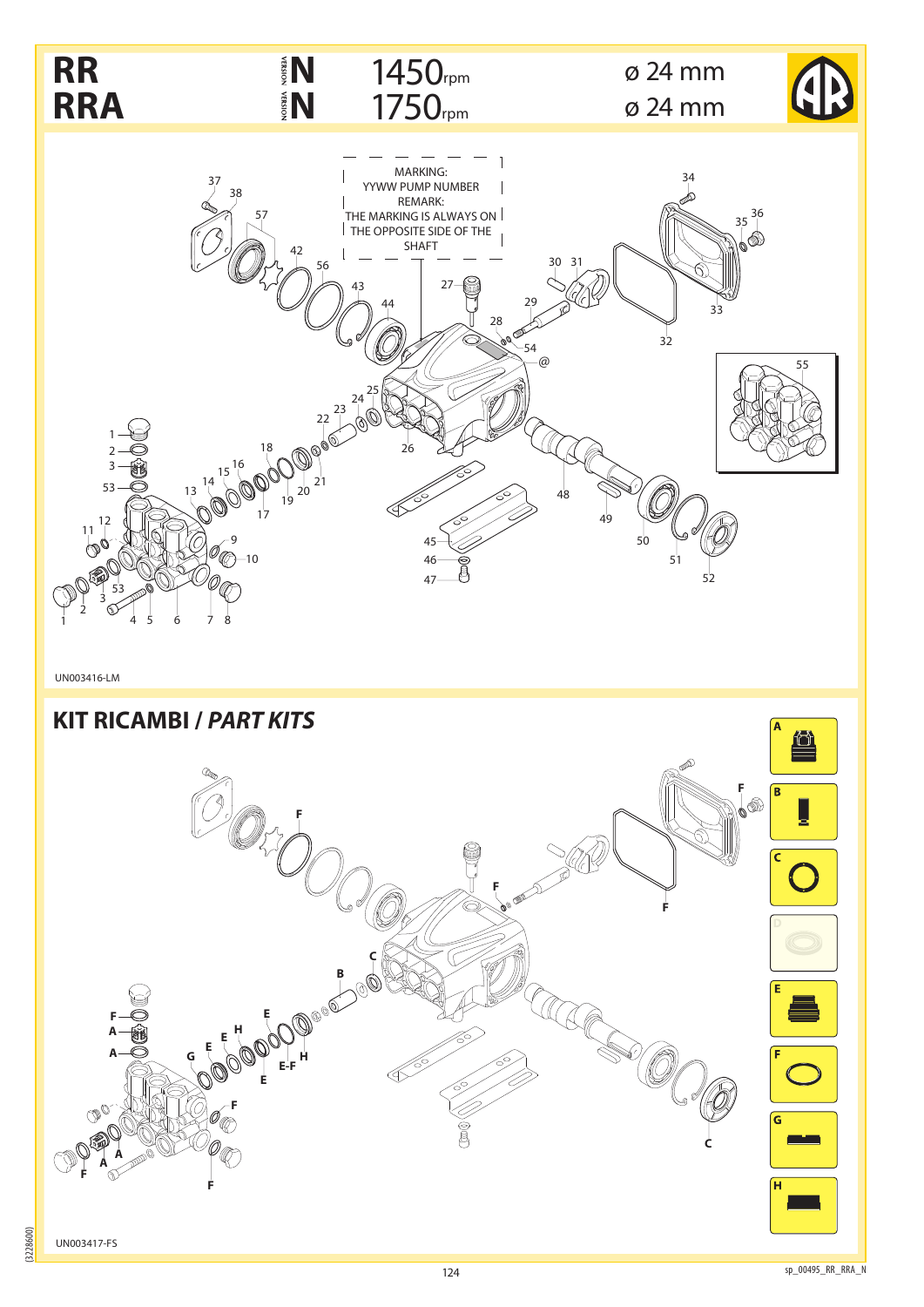

(3228600)